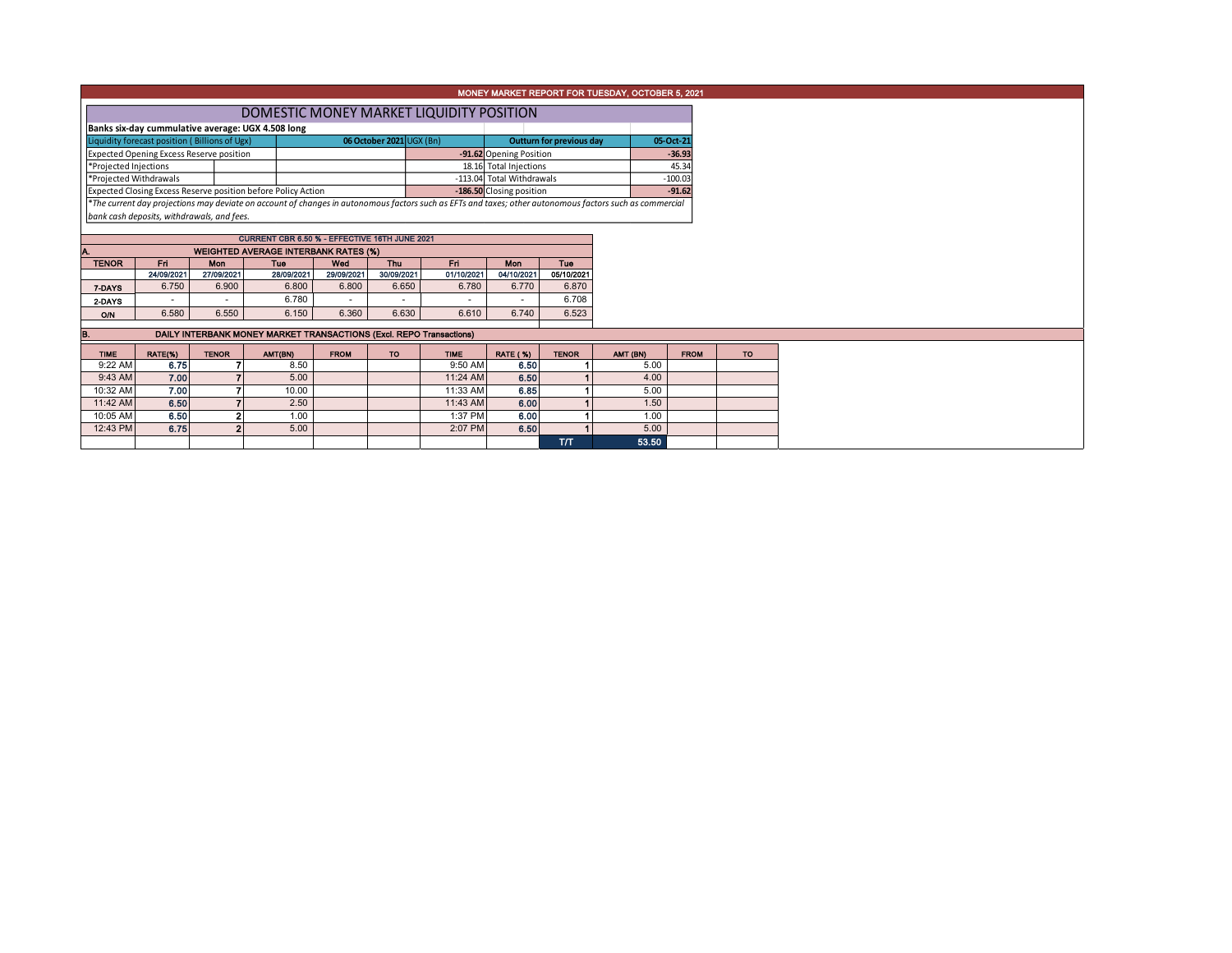|                                                                                                                                |                                            |                          |                                                                     |                   |                                               |                                                                                                                                                          |                          |                                 | MONEY MARKET REPORT FOR TUESDAY, OCTOBER 5, 2021 |             |           |
|--------------------------------------------------------------------------------------------------------------------------------|--------------------------------------------|--------------------------|---------------------------------------------------------------------|-------------------|-----------------------------------------------|----------------------------------------------------------------------------------------------------------------------------------------------------------|--------------------------|---------------------------------|--------------------------------------------------|-------------|-----------|
|                                                                                                                                |                                            |                          |                                                                     |                   |                                               | DOMESTIC MONEY MARKET LIQUIDITY POSITION                                                                                                                 |                          |                                 |                                                  |             |           |
|                                                                                                                                |                                            |                          |                                                                     |                   |                                               |                                                                                                                                                          |                          |                                 |                                                  |             |           |
| Banks six-day cummulative average: UGX 4.508 long<br>06 October 2021 UGX (Bn)<br>Liquidity forecast position (Billions of Ugx) |                                            |                          |                                                                     |                   |                                               |                                                                                                                                                          |                          | <b>Outturn for previous day</b> |                                                  |             |           |
| Expected Opening Excess Reserve position                                                                                       |                                            |                          |                                                                     |                   |                                               | -91.62 Opening Position                                                                                                                                  |                          |                                 | 05-Oct-21<br>$-36.93$                            |             |           |
| *Projected Injections                                                                                                          |                                            |                          |                                                                     |                   | 18.16 Total Injections                        |                                                                                                                                                          |                          | 45.34                           |                                                  |             |           |
| *Projected Withdrawals                                                                                                         |                                            |                          |                                                                     |                   |                                               | -113.04 Total Withdrawals                                                                                                                                |                          |                                 | $-100.03$                                        |             |           |
|                                                                                                                                |                                            |                          | Expected Closing Excess Reserve position before Policy Action       |                   |                                               |                                                                                                                                                          | -186.50 Closing position |                                 |                                                  | $-91.62$    |           |
|                                                                                                                                |                                            |                          |                                                                     |                   |                                               | *The current day projections may deviate on account of changes in autonomous factors such as EFTs and taxes; other autonomous factors such as commercial |                          |                                 |                                                  |             |           |
|                                                                                                                                | bank cash deposits, withdrawals, and fees. |                          |                                                                     |                   |                                               |                                                                                                                                                          |                          |                                 |                                                  |             |           |
|                                                                                                                                |                                            |                          |                                                                     |                   |                                               |                                                                                                                                                          |                          |                                 |                                                  |             |           |
|                                                                                                                                |                                            |                          | CURRENT CBR 6.50 % - EFFECTIVE 16TH JUNE 2021                       |                   |                                               |                                                                                                                                                          |                          |                                 |                                                  |             |           |
|                                                                                                                                |                                            |                          | <b>WEIGHTED AVERAGE INTERBANK RATES (%)</b>                         |                   |                                               |                                                                                                                                                          |                          |                                 |                                                  |             |           |
| <b>TENOR</b>                                                                                                                   | Fn.<br>24/09/2021                          | <b>Mon</b><br>27/09/2021 | Tue<br>28/09/2021                                                   | Wed<br>29/09/2021 | <b>Thu</b><br>Fri<br>30/09/2021<br>01/10/2021 |                                                                                                                                                          | <b>Mon</b><br>04/10/2021 | Tue<br>05/10/2021               |                                                  |             |           |
| 7-DAYS                                                                                                                         | 6.750                                      | 6.900                    | 6.800                                                               | 6.800             | 6.650                                         | 6.780                                                                                                                                                    | 6.770                    | 6.870                           |                                                  |             |           |
| 2-DAYS                                                                                                                         |                                            |                          | 6.780                                                               |                   |                                               |                                                                                                                                                          |                          | 6.708                           |                                                  |             |           |
| ON                                                                                                                             | 6.580                                      | 6.550                    | 6.150                                                               | 6.360             | 6.630                                         | 6.610                                                                                                                                                    | 6.740                    | 6.523                           |                                                  |             |           |
|                                                                                                                                |                                            |                          |                                                                     |                   |                                               |                                                                                                                                                          |                          |                                 |                                                  |             |           |
|                                                                                                                                |                                            |                          | DAILY INTERBANK MONEY MARKET TRANSACTIONS (Excl. REPO Transactions) |                   |                                               |                                                                                                                                                          |                          |                                 |                                                  |             |           |
| <b>TIME</b>                                                                                                                    | RATE(%)                                    | <b>TENOR</b>             | AMT(BN)                                                             | <b>FROM</b>       | TO                                            | <b>TIME</b>                                                                                                                                              | <b>RATE (%)</b>          | <b>TENOR</b>                    | AMT (BN)                                         | <b>FROM</b> | <b>TO</b> |
| 9:22 AM                                                                                                                        | 6.75                                       |                          | 8.50                                                                |                   |                                               | 9:50 AM                                                                                                                                                  | 6.50                     |                                 | 5.00                                             |             |           |
| 9:43 AM                                                                                                                        | 7.00                                       |                          | 5.00                                                                |                   |                                               | 11:24 AM                                                                                                                                                 | 6.50                     |                                 | 4.00                                             |             |           |
| 10:32 AM                                                                                                                       | 7.00                                       |                          | 10.00                                                               |                   |                                               | 11:33 AM                                                                                                                                                 | 6.85                     |                                 | 5.00                                             |             |           |
| 11:42 AM                                                                                                                       | 6.50                                       |                          | 2.50                                                                |                   |                                               | 11:43 AM                                                                                                                                                 | 6.00                     |                                 | 1.50                                             |             |           |
| 10:05 AM                                                                                                                       | 6.50                                       |                          | 1.00                                                                |                   |                                               | 1:37 PM                                                                                                                                                  | 6.00                     |                                 | 1.00                                             |             |           |
| 12:43 PM                                                                                                                       | 6.75                                       |                          | 5.00                                                                |                   |                                               | 2:07 PM                                                                                                                                                  | 6.50                     |                                 | 5.00                                             |             |           |
|                                                                                                                                |                                            |                          |                                                                     |                   |                                               |                                                                                                                                                          |                          | T/T                             | 53.50                                            |             |           |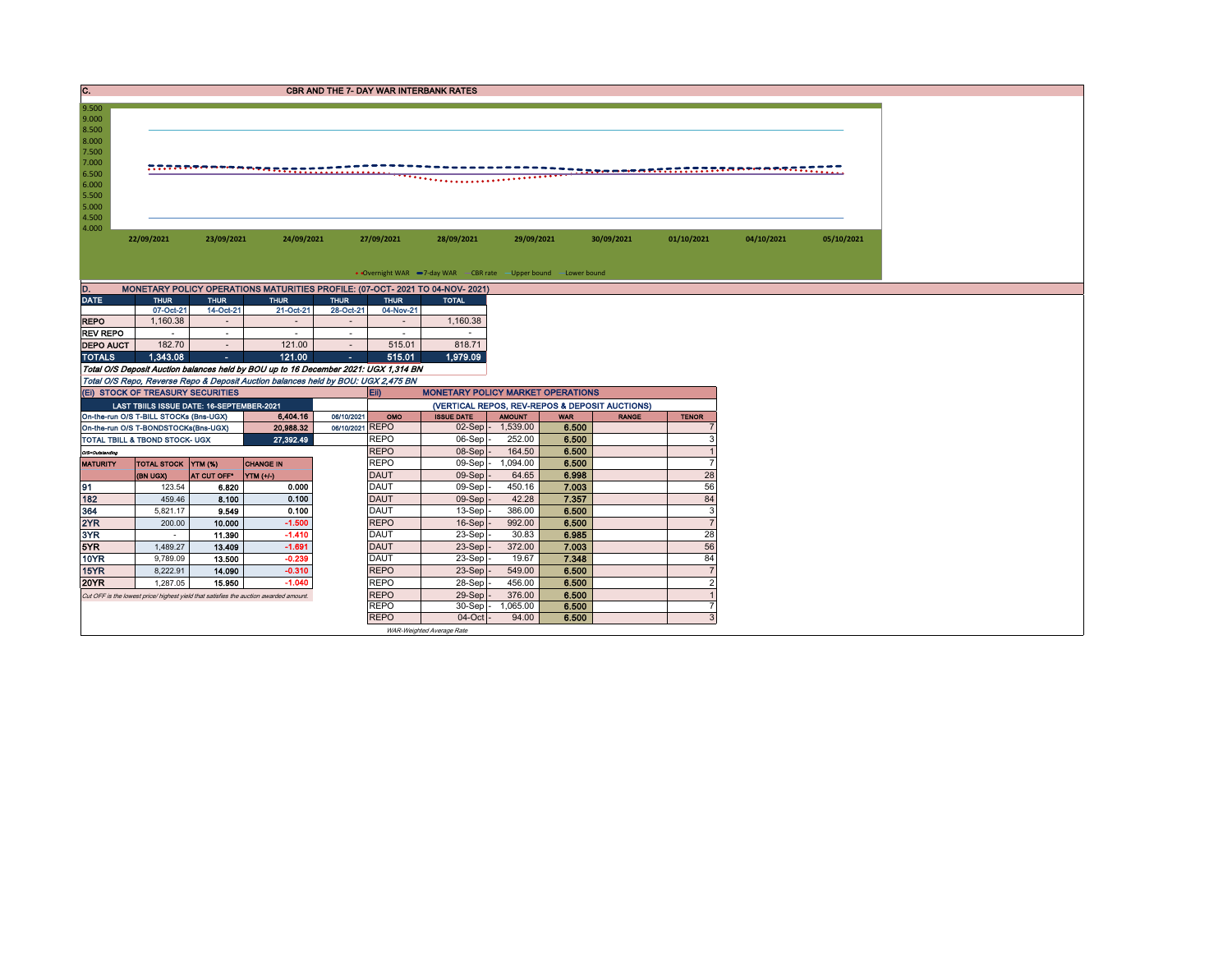| C.                                                                                              |                                                                                             |                          |                                                                                       | <b>CBR AND THE 7- DAY WAR INTERBANK RATES</b> |                            |                                                                  |                                                |                |              |                |            |            |  |  |
|-------------------------------------------------------------------------------------------------|---------------------------------------------------------------------------------------------|--------------------------|---------------------------------------------------------------------------------------|-----------------------------------------------|----------------------------|------------------------------------------------------------------|------------------------------------------------|----------------|--------------|----------------|------------|------------|--|--|
| 9.500<br>9.000<br>8.500<br>8.000<br>7.500<br>7.000<br>6.500<br>6.000<br>5.500<br>5.000<br>4.500 | <u> ATABTAPER PER PERSONALITIO (1111), 111</u>                                              |                          |                                                                                       |                                               |                            |                                                                  |                                                |                |              |                |            |            |  |  |
| 4.000                                                                                           | 22/09/2021                                                                                  | 23/09/2021               | 24/09/2021                                                                            |                                               | 27/09/2021                 | 28/09/2021                                                       | 29/09/2021                                     |                | 30/09/2021   | 01/10/2021     | 04/10/2021 | 05/10/2021 |  |  |
|                                                                                                 |                                                                                             |                          |                                                                                       |                                               |                            |                                                                  |                                                |                |              |                |            |            |  |  |
|                                                                                                 |                                                                                             |                          |                                                                                       |                                               |                            | • Overnight WAR -7-day WAR - CBR rate - Upper bound -Lower bound |                                                |                |              |                |            |            |  |  |
| D.                                                                                              |                                                                                             |                          | MONETARY POLICY OPERATIONS MATURITIES PROFILE: (07-OCT- 2021 TO 04-NOV- 2021)         |                                               |                            |                                                                  |                                                |                |              |                |            |            |  |  |
| <b>DATE</b>                                                                                     | <b>THUR</b><br>07-Oct-21                                                                    | <b>THUR</b><br>14-Oct-21 | <b>THUR</b><br>21-Oct-21                                                              | <b>THUR</b><br>28-Oct-21                      | <b>THUR</b><br>04-Nov-21   | <b>TOTAL</b>                                                     |                                                |                |              |                |            |            |  |  |
| <b>REPO</b>                                                                                     | 1.160.38                                                                                    | $\sim$                   | $\sim$                                                                                | $\overline{a}$                                | $\sim$                     | 1,160.38                                                         |                                                |                |              |                |            |            |  |  |
| <b>REV REPO</b>                                                                                 | $\sim$                                                                                      | $\sim$                   | $\sim$                                                                                | $\sim$                                        | $\sim$                     | $\sim$                                                           |                                                |                |              |                |            |            |  |  |
| <b>DEPO AUCT</b>                                                                                | 182.70                                                                                      | $\sim$                   | 121.00                                                                                | $\sim$                                        | 515.01                     | 818.71                                                           |                                                |                |              |                |            |            |  |  |
| 1,343.08<br><b>TOTALS</b><br>121.00<br>515.01<br>1,979.09<br>$\sim$<br>$\sim 10$                |                                                                                             |                          |                                                                                       |                                               |                            |                                                                  |                                                |                |              |                |            |            |  |  |
|                                                                                                 |                                                                                             |                          | Total O/S Deposit Auction balances held by BOU up to 16 December 2021: UGX 1,314 BN   |                                               |                            |                                                                  |                                                |                |              |                |            |            |  |  |
|                                                                                                 |                                                                                             |                          | Total O/S Repo, Reverse Repo & Deposit Auction balances held by BOU: UGX 2,475 BN     |                                               |                            |                                                                  |                                                |                |              |                |            |            |  |  |
|                                                                                                 | (EI) STOCK OF TREASURY SECURITIES<br><b>Eii</b><br><b>MONETARY POLICY MARKET OPERATIONS</b> |                          |                                                                                       |                                               |                            |                                                                  |                                                |                |              |                |            |            |  |  |
| LAST TBIILS ISSUE DATE: 16-SEPTEMBER-2021                                                       |                                                                                             |                          |                                                                                       |                                               |                            |                                                                  |                                                |                |              |                |            |            |  |  |
|                                                                                                 |                                                                                             |                          |                                                                                       |                                               |                            |                                                                  | (VERTICAL REPOS, REV-REPOS & DEPOSIT AUCTIONS) |                |              |                |            |            |  |  |
|                                                                                                 | On-the-run O/S T-BILL STOCKs (Bns-UGX)                                                      |                          | 6,404.16                                                                              | 06/10/2021                                    | OMO                        | <b>ISSUE DATE</b>                                                | <b>AMOUNT</b>                                  | <b>WAR</b>     | <b>RANGE</b> | <b>TENOR</b>   |            |            |  |  |
|                                                                                                 | On-the-run O/S T-BONDSTOCKs(Bns-UGX)                                                        |                          | 20,988.32                                                                             | 06/10/2021 REPO                               |                            | $02-Sep$ -                                                       | 1,539.00                                       | 6.500          |              |                |            |            |  |  |
|                                                                                                 | TOTAL TBILL & TBOND STOCK- UGX                                                              |                          | 27,392.49                                                                             |                                               | <b>REPO</b>                | 06-Sep                                                           | 252.00                                         | 6.500          |              | 3              |            |            |  |  |
| O/S=Outstanding                                                                                 |                                                                                             |                          |                                                                                       |                                               | <b>REPO</b>                | $08-Sep$                                                         | 164.50                                         | 6.500          |              | 7              |            |            |  |  |
| <b>MATURITY</b>                                                                                 | TOTAL STOCK YTM (%)<br>(BN UGX)                                                             | AT CUT OFF*              | <b>CHANGE IN</b>                                                                      |                                               | <b>REPO</b><br><b>DAUT</b> | 09-Sep -<br>$09-Sep$                                             | 1,094.00<br>64.65                              | 6.500<br>6.998 |              | 28             |            |            |  |  |
| 91                                                                                              | 123.54                                                                                      | 6.820                    | YTM (+/-)<br>0.000                                                                    |                                               | <b>DAUT</b>                | $09-Sep$                                                         | 450.16                                         | 7.003          |              | 56             |            |            |  |  |
| 182                                                                                             | 459.46                                                                                      | 8.100                    | 0.100                                                                                 |                                               | <b>DAUT</b>                | 09-Sep                                                           | 42.28                                          | 7.357          |              | 84             |            |            |  |  |
| 364                                                                                             | 5,821.17                                                                                    | 9.549                    | 0.100                                                                                 |                                               | <b>DAUT</b>                | 13-Sep                                                           | 386.00                                         | 6.500          |              | 3              |            |            |  |  |
| 2YR                                                                                             | 200.00                                                                                      | 10.000                   | $-1.500$                                                                              |                                               | <b>REPO</b>                | 16-Sep                                                           | 992.00                                         | 6.500          |              | $\overline{7}$ |            |            |  |  |
| 3YR                                                                                             | $\sim$                                                                                      | 11.390                   | $-1.410$                                                                              |                                               | <b>DAUT</b>                | 23-Sep                                                           | 30.83                                          | 6.985          |              | 28             |            |            |  |  |
| 5YR                                                                                             | 1.489.27                                                                                    | 13.409                   | $-1.691$                                                                              |                                               | <b>DAUT</b>                | 23-Sep                                                           | 372.00                                         | 7.003          |              | 56             |            |            |  |  |
| <b>10YR</b>                                                                                     | 9,789.09                                                                                    | 13.500                   | $-0.239$                                                                              |                                               | <b>DAUT</b>                | 23-Sep                                                           | 19.67                                          | 7.348          |              | 84             |            |            |  |  |
| 15YR                                                                                            | 8,222.91                                                                                    | 14.090                   | $-0.310$                                                                              |                                               | <b>REPO</b>                | 23-Sep                                                           | 549.00                                         | 6.500          |              | $\overline{7}$ |            |            |  |  |
| <b>20YR</b>                                                                                     | 1,287.05                                                                                    | 15.950                   | $-1.040$                                                                              |                                               | <b>REPO</b>                | 28-Sep                                                           | 456.00                                         | 6.500          |              | $\overline{2}$ |            |            |  |  |
|                                                                                                 |                                                                                             |                          | Cut OFF is the lowest price/ highest yield that satisfies the auction awarded amount. |                                               | <b>REPO</b>                | 29-Sep                                                           | 376.00                                         | 6.500          |              |                |            |            |  |  |
|                                                                                                 |                                                                                             |                          |                                                                                       |                                               | <b>REPO</b><br><b>REPO</b> | 30-Sep<br>04-Oct                                                 | 1.065.00<br>94.00                              | 6.500<br>6.500 |              | 3              |            |            |  |  |